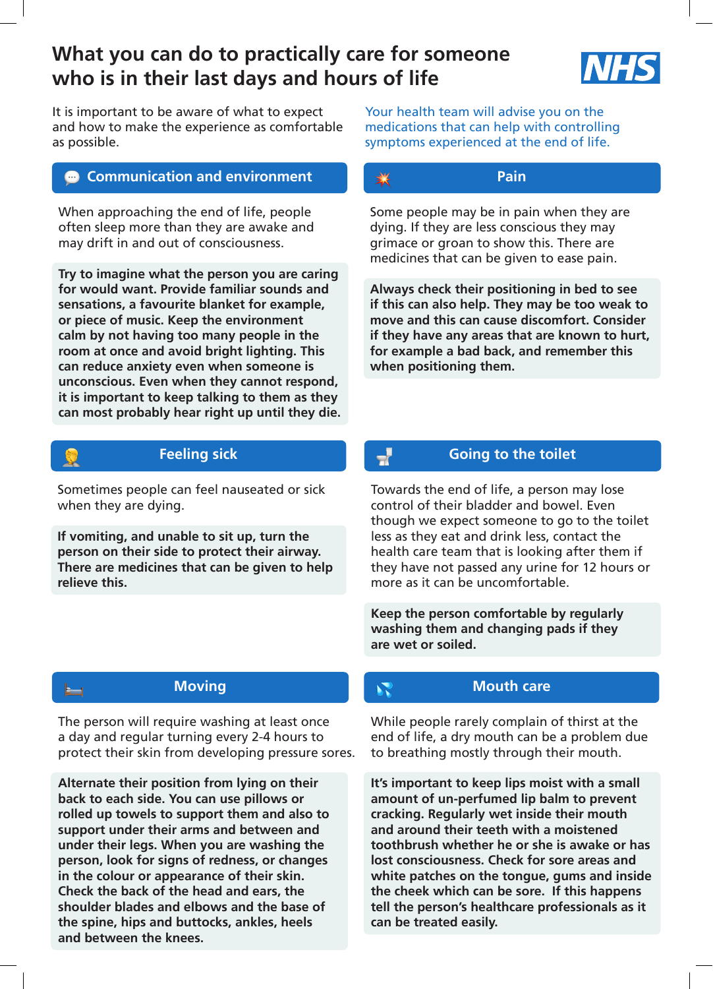# **What you can do to practically care for someone who is in their last days and hours of life**



It is important to be aware of what to expect and how to make the experience as comfortable as possible.

# **Communication and environment**

When approaching the end of life, people often sleep more than they are awake and may drift in and out of consciousness.

**Try to imagine what the person you are caring for would want. Provide familiar sounds and sensations, a favourite blanket for example, or piece of music. Keep the environment calm by not having too many people in the room at once and avoid bright lighting. This can reduce anxiety even when someone is unconscious. Even when they cannot respond, it is important to keep talking to them as they can most probably hear right up until they die.** 

# **RATION**

### **Feeling sick**

Sometimes people can feel nauseated or sick when they are dying.

**If vomiting, and unable to sit up, turn the person on their side to protect their airway. There are medicines that can be given to help relieve this.**

**Moving** 

The person will require washing at least once a day and regular turning every 2-4 hours to protect their skin from developing pressure sores.

**Alternate their position from lying on their back to each side. You can use pillows or rolled up towels to support them and also to support under their arms and between and under their legs. When you are washing the person, look for signs of redness, or changes in the colour or appearance of their skin. Check the back of the head and ears, the shoulder blades and elbows and the base of the spine, hips and buttocks, ankles, heels and between the knees.** 

Your health team will advise you on the medications that can help with controlling symptoms experienced at the end of life.

# **Pain**

Some people may be in pain when they are dying. If they are less conscious they may grimace or groan to show this. There are medicines that can be given to ease pain.

**Always check their positioning in bed to see if this can also help. They may be too weak to move and this can cause discomfort. Consider if they have any areas that are known to hurt, for example a bad back, and remember this when positioning them.**

## **Going to the toilet**

 $\overline{\mathbf{r}}$ 

Towards the end of life, a person may lose control of their bladder and bowel. Even though we expect someone to go to the toilet less as they eat and drink less, contact the health care team that is looking after them if they have not passed any urine for 12 hours or more as it can be uncomfortable.

**Keep the person comfortable by regularly washing them and changing pads if they are wet or soiled.**

# **Mouth care**

While people rarely complain of thirst at the end of life, a dry mouth can be a problem due to breathing mostly through their mouth.

**It's important to keep lips moist with a small amount of un-perfumed lip balm to prevent cracking. Regularly wet inside their mouth and around their teeth with a moistened toothbrush whether he or she is awake or has lost consciousness. Check for sore areas and white patches on the tongue, gums and inside the cheek which can be sore. If this happens tell the person's healthcare professionals as it can be treated easily.**